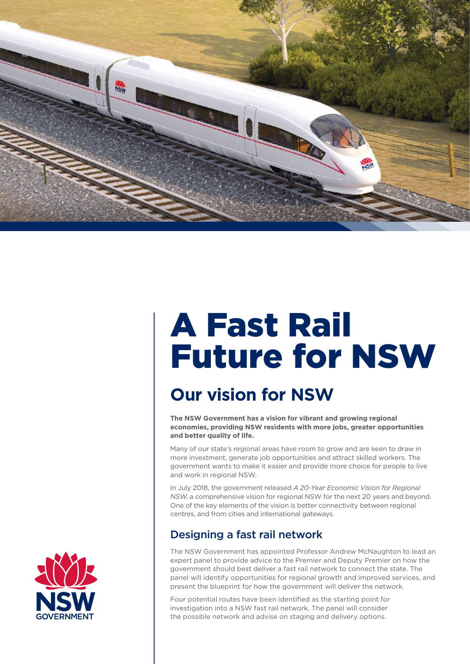

# A Fast Rail Future for NSW

# **Our vision for NSW**

**The NSW Government has a vision for vibrant and growing regional economies, providing NSW residents with more jobs, greater opportunities and better quality of life.** 

Many of our state's regional areas have room to grow and are keen to draw in more investment, generate job opportunities and attract skilled workers. The government wants to make it easier and provide more choice for people to live and work in regional NSW.

In July 2018, the government released *A 20-Year Economic Vision for Regional NSW*, a comprehensive vision for regional NSW for the next 20 years and beyond. One of the key elements of the vision is better connectivity between regional centres, and from cities and international gateways.

## Designing a fast rail network

The NSW Government has appointed Professor Andrew McNaughton to lead an expert panel to provide advice to the Premier and Deputy Premier on how the government should best deliver a fast rail network to connect the state. The panel will identify opportunities for regional growth and improved services, and present the blueprint for how the government will deliver the network.

Four potential routes have been identified as the starting point for investigation into a NSW fast rail network. The panel will consider the possible network and advise on staging and delivery options.

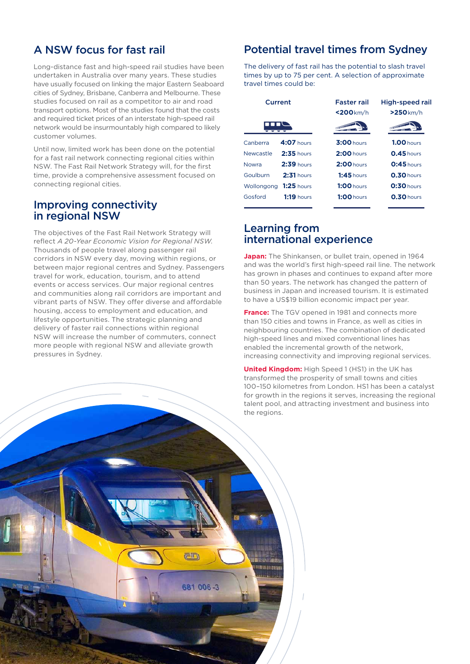### A NSW focus for fast rail

Long-distance fast and high-speed rail studies have been undertaken in Australia over many years. These studies have usually focused on linking the major Eastern Seaboard cities of Sydney, Brisbane, Canberra and Melbourne. These studies focused on rail as a competitor to air and road transport options. Most of the studies found that the costs and required ticket prices of an interstate high-speed rail network would be insurmountably high compared to likely customer volumes.

Until now, limited work has been done on the potential for a fast rail network connecting regional cities within NSW. The Fast Rail Network Strategy will, for the first time, provide a comprehensive assessment focused on connecting regional cities.

### Improving connectivity in regional NSW

**2** A FAST RAIL FOR NSW

The objectives of the Fast Rail Network Strategy will reflect *A 20-Year Economic Vision for Regional NSW*. Thousands of people travel along passenger rail corridors in NSW every day, moving within regions, or between major regional centres and Sydney. Passengers travel for work, education, tourism, and to attend events or access services. Our major regional centres and communities along rail corridors are important and vibrant parts of NSW. They offer diverse and affordable housing, access to employment and education, and lifestyle opportunities. The strategic planning and delivery of faster rail connections within regional NSW will increase the number of commuters, connect more people with regional NSW and alleviate growth pressures in Sydney.

<u>an</u>

681 006-3

**HIN HILMAN** 

### Potential travel times from Sydney

The delivery of fast rail has the potential to slash travel times by up to 75 per cent. A selection of approximate travel times could be:

| Current      |              | <b>Faster rail</b><br>$<$ 200 $km/h$ | High-speed rail<br>$>250$ km/h |
|--------------|--------------|--------------------------------------|--------------------------------|
|              |              |                                      |                                |
| Newcastle    | $2:35$ hours | $2:00$ hours                         | $0.45$ hours                   |
| <b>Nowra</b> | $2:39$ hours | $2:00$ hours                         | $0:45$ hours                   |
| Goulburn     | $2:31$ hours | $1:45$ hours                         | $0.30$ hours                   |
| Wollongong   | $1:25$ hours | $1:00$ hours                         | $0:30$ hours                   |
| Gosford      | $1:19$ hours | $1:00$ hours                         | $0.30$ hours                   |
|              |              |                                      |                                |

### Learning from international experience

**Japan:** The Shinkansen, or bullet train, opened in 1964 and was the world's first high-speed rail line. The network has grown in phases and continues to expand after more than 50 years. The network has changed the pattern of business in Japan and increased tourism. It is estimated to have a US\$19 billion economic impact per year.

**France:** The TGV opened in 1981 and connects more than 150 cities and towns in France, as well as cities in neighbouring countries. The combination of dedicated high-speed lines and mixed conventional lines has enabled the incremental growth of the network, increasing connectivity and improving regional services.

**United Kingdom:** High Speed 1 (HS1) in the UK has transformed the prosperity of small towns and cities 100–150 kilometres from London. HS1 has been a catalyst for growth in the regions it serves, increasing the regional talent pool, and attracting investment and business into the regions.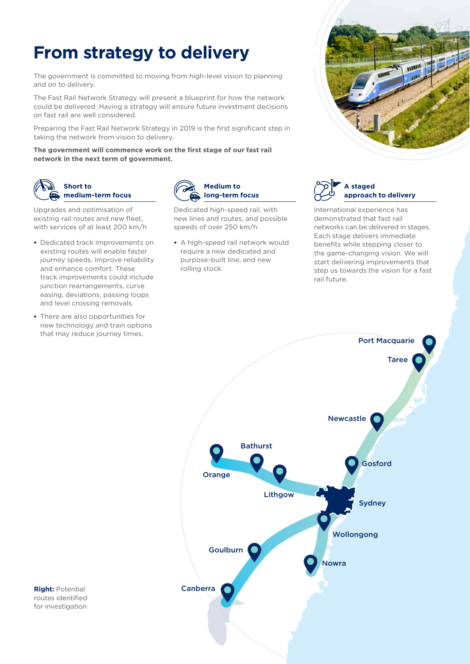# **From strategy to delivery**

The government is committed to moving from high-level vision to planning and on to delivery.

The Fast Rail Network Strategy will present a blueprint for how the network could be delivered. Having a strategy will ensure future investment decisions on fast rail are well considered.

Preparing the Fast Rail Network Strategy in 2019 is the first significant step in taking the network from vision to delivery.

**The government will commence work on the first stage of our fast rail network in the next term of government.**



#### **Short to medium-term focus**

Upgrades and optimisation of existing rail routes and new fleet, with services of at least 200 km/h

- **•** Dedicated track improvements on existing routes will enable faster journey speeds, improve reliability and enhance comfort. These track improvements could include junction rearrangements, curve easing, deviations, passing loops and level crossing removals.
- **•** There are also opportunities for new technology and train options that may reduce journey times.



Dedicated high-speed rail, with new lines and routes, and possible speeds of over 250 km/h

**•** A high-speed rail network would require a new dedicated and purpose-built line, and new rolling stock.





International experience has demonstrated that fast rail networks can be delivered in stages. Each stage delivers immediate benefits while stepping closer to the game-changing vision. We will start delivering improvements that step us towards the vision for a fast rail future.



**Right:** Potential routes identified for investigation